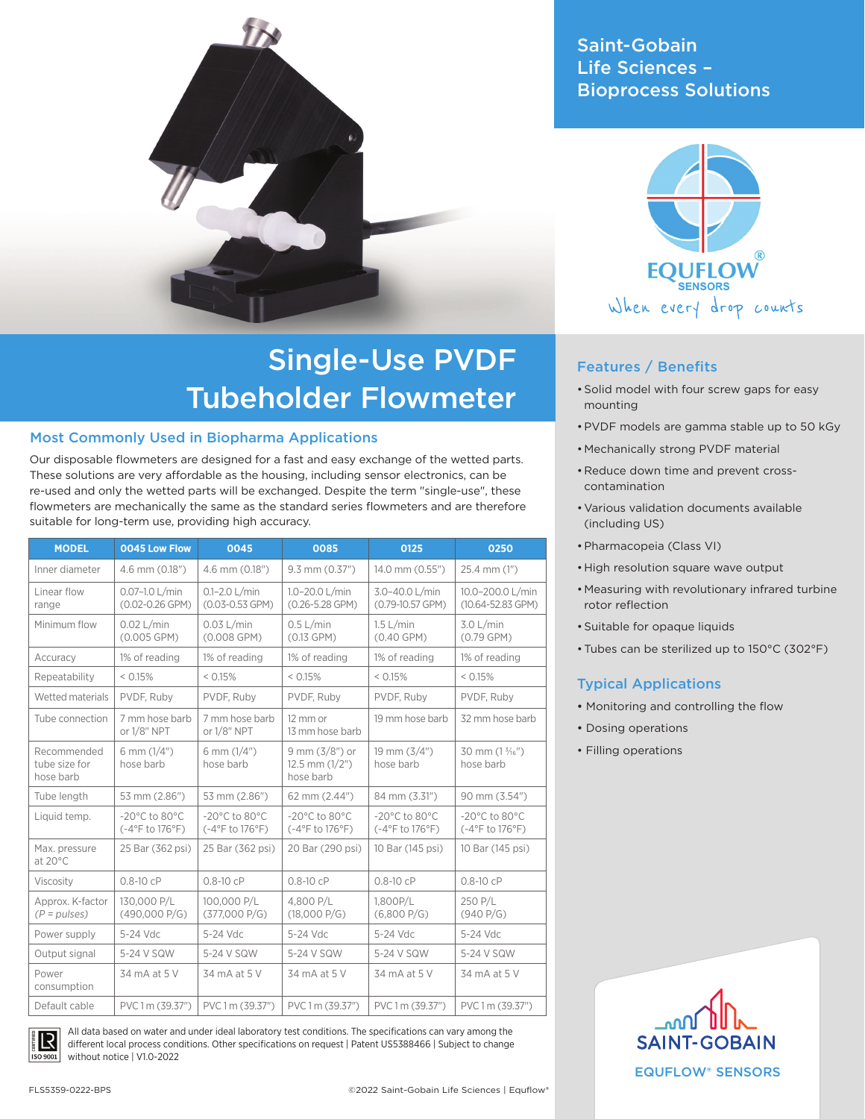

# Single-Use PVDF Tubeholder Flowmeter

#### Most Commonly Used in Biopharma Applications

Our disposable flowmeters are designed for a fast and easy exchange of the wetted parts. These solutions are very affordable as the housing, including sensor electronics, can be re-used and only the wetted parts will be exchanged. Despite the term "single-use", these flowmeters are mechanically the same as the standard series flowmeters and are therefore suitable for long-term use, providing high accuracy.

| <b>MODEL</b>                              | 0045 Low Flow                                         | 0045                                                  | 0085                                                  | 0125                                                  | 0250                                                  |
|-------------------------------------------|-------------------------------------------------------|-------------------------------------------------------|-------------------------------------------------------|-------------------------------------------------------|-------------------------------------------------------|
| Inner diameter                            | 4.6 mm (0.18")                                        | 4.6 mm (0.18")                                        | 9.3 mm (0.37")                                        | 14.0 mm (0.55")                                       | 25.4 mm (1")                                          |
| Linear flow<br>range                      | 0.07-1.0 L/min<br>(0.02-0.26 GPM)                     | 0.1-2.0 L/min<br>(0.03-0.53 GPM)                      | 1.0-20.0 L/min<br>$(0.26 - 5.28$ GPM)                 | 3.0-40.0 L/min<br>(0.79-10.57 GPM)                    | 10.0-200.0 L/min<br>(10.64-52.83 GPM)                 |
| Minimum flow                              | $0.02$ L/min<br>$(0.005$ GPM)                         | $0.03$ L/min<br>(0.008 GPM)                           | $0.5$ L/min<br>$(0.13$ GPM)                           | $1.5$ L/min<br>(0.40 GPM)                             | $3.0$ L/min<br>(0.79 GPM)                             |
| Accuracy                                  | 1% of reading                                         | 1% of reading                                         | 1% of reading                                         | 1% of reading                                         | 1% of reading                                         |
| Repeatability                             | < 0.15%                                               | < 0.15%                                               | < 0.15%                                               | < 0.15%                                               | < 0.15%                                               |
| Wetted materials                          | PVDF, Ruby                                            | PVDF, Ruby                                            | PVDF, Ruby                                            | PVDF, Ruby                                            | PVDF, Ruby                                            |
| Tube connection                           | 7 mm hose barb<br>or 1/8" NPT                         | 7 mm hose barb<br>or 1/8" NPT                         | 12 mm or<br>13 mm hose barb                           | 19 mm hose barb                                       | 32 mm hose barb                                       |
| Recommended<br>tube size for<br>hose barb | 6 mm $(1/4")$<br>hose barb                            | 6 mm $(1/4")$<br>hose barb                            | $9$ mm $(3/8")$ or<br>$12.5$ mm $(1/2")$<br>hose barb | 19 mm $(3/4")$<br>hose barb                           | 30 mm (1 3/16")<br>hose barb                          |
| Tube length                               | 53 mm (2.86")                                         | 53 mm (2.86")                                         | 62 mm (2.44")                                         | 84 mm (3.31")                                         | 90 mm (3.54")                                         |
| Liquid temp.                              | $-20^{\circ}$ C to 80 $^{\circ}$ C<br>(-4°F to 176°F) | $-20^{\circ}$ C to 80 $^{\circ}$ C<br>(-4°F to 176°F) | $-20^{\circ}$ C to 80 $^{\circ}$ C<br>(-4°F to 176°F) | $-20^{\circ}$ C to 80 $^{\circ}$ C<br>(-4°F to 176°F) | $-20^{\circ}$ C to 80 $^{\circ}$ C<br>(-4°F to 176°F) |
| Max. pressure<br>at $20^{\circ}$ C        | 25 Bar (362 psi)                                      | 25 Bar (362 psi)                                      | 20 Bar (290 psi)                                      | 10 Bar (145 psi)                                      | 10 Bar (145 psi)                                      |
| Viscosity                                 | $0.8 - 10$ cP                                         | $0.8 - 10$ cP                                         | $0.8 - 10$ cP                                         | $0.8 - 10$ cP                                         | $0.8 - 10cP$                                          |
| Approx. K-factor<br>$(P = pulses)$        | 130,000 P/L<br>(490,000 P/G)                          | 100.000 P/L<br>(377,000 P/G)                          | 4.800 P/L<br>(18,000 P/G)                             | 1.800P/L<br>(6,800 P/G)                               | 250 P/L<br>(940 P/G)                                  |
| Power supply                              | 5-24 Vdc                                              | 5-24 Vdc                                              | 5-24 Vdc                                              | 5-24 Vdc                                              | 5-24 Vdc                                              |
| Output signal                             | 5-24 V SQW                                            | 5-24 V SQW                                            | 5-24 V SQW                                            | 5-24 V SQW                                            | 5-24 V SQW                                            |
| Power<br>consumption                      | 34 mA at 5 V                                          | 34 mA at 5 V                                          | 34 mA at 5 V                                          | 34 mA at 5 V                                          | 34 mA at 5 V                                          |
| Default cable                             | PVC 1 m (39.37")                                      | PVC1m (39.37")                                        | PVC1m (39.37")                                        | PVC 1 m (39.37")                                      | PVC 1 m (39.37")                                      |

R  $509001$ 

All data based on water and under ideal laboratory test conditions. The specifications can vary among the different local process conditions. Other specifications on request | Patent US5388466 | Subject to change without notice | V1.0-2022

# Saint-Gobain Life Sciences – Bioprocess Solutions



## Features / Benefits

- •Solid model with four screw gaps for easy mounting
- •PVDF models are gamma stable up to 50 kGy
- Mechanically strong PVDF material
- Reduce down time and prevent crosscontamination
- •Various validation documents available (including US)
- •Pharmacopeia (Class VI)
- •High resolution square wave output
- Measuring with revolutionary infrared turbine rotor reflection
- •Suitable for opaque liquids
- •Tubes can be sterilized up to 150°C (302°F)

## Typical Applications

- Monitoring and controlling the flow
- Dosing operations
- Filling operations